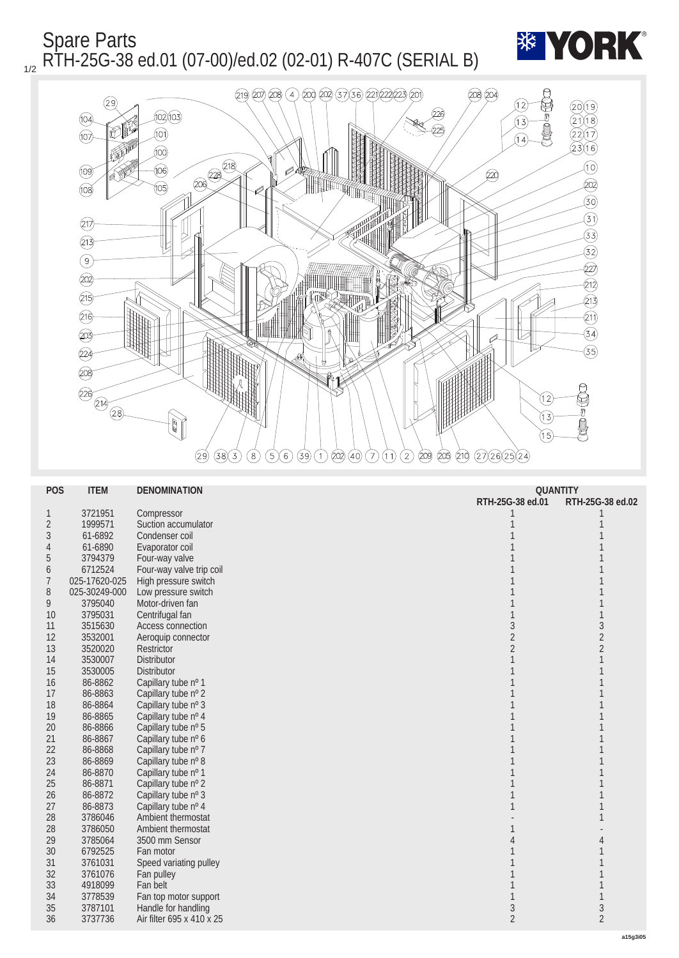Spare Parts

 $_{1/2}$  RTH-25G-38 ed.01 (07-00)/ed.02 (02-01) R-407C (SERIAL B)





| <b>POS</b>               | <b>ITEM</b>   | <b>DENOMINATION</b>       | <b>QUANTITY</b>  |                  |
|--------------------------|---------------|---------------------------|------------------|------------------|
|                          |               |                           | RTH-25G-38 ed.01 | RTH-25G-38 ed.02 |
| $\mathbf{1}$             | 3721951       | Compressor                |                  |                  |
| $\sqrt{2}$               | 1999571       | Suction accumulator       |                  | 1                |
| 3                        | 61-6892       | Condenser coil            |                  |                  |
| 4                        | 61-6890       | Evaporator coil           |                  |                  |
| $\overline{5}$           | 3794379       | Four-way valve            |                  |                  |
| 6                        | 6712524       | Four-way valve trip coil  |                  |                  |
| $\overline{\mathcal{U}}$ | 025-17620-025 | High pressure switch      |                  |                  |
| 8                        | 025-30249-000 | Low pressure switch       |                  |                  |
| 9                        | 3795040       | Motor-driven fan          |                  |                  |
| 10                       | 3795031       | Centrifugal fan           |                  |                  |
| 11                       | 3515630       | <b>Access connection</b>  | 3                | $\overline{3}$   |
| 12                       | 3532001       | Aeroquip connector        | $\overline{2}$   | $\overline{c}$   |
| 13                       | 3520020       | <b>Restrictor</b>         | $\overline{2}$   | $\overline{c}$   |
| 14                       | 3530007       | <b>Distributor</b>        |                  | $\mathbf{1}$     |
| 15                       | 3530005       | Distributor               |                  |                  |
| 16                       | 86-8862       | Capillary tube nº 1       |                  |                  |
| 17                       | 86-8863       | Capillary tube nº 2       |                  |                  |
| 18                       | 86-8864       | Capillary tube nº 3       |                  |                  |
| 19                       | 86-8865       | Capillary tube nº 4       |                  |                  |
| $20\,$                   | 86-8866       | Capillary tube nº 5       |                  |                  |
| 21                       | 86-8867       | Capillary tube nº 6       |                  |                  |
| 22                       | 86-8868       | Capillary tube nº 7       |                  |                  |
| 23                       | 86-8869       | Capillary tube nº 8       |                  |                  |
| 24                       | 86-8870       | Capillary tube nº 1       |                  |                  |
| 25                       | 86-8871       | Capillary tube nº 2       |                  |                  |
| 26                       | 86-8872       | Capillary tube nº 3       |                  |                  |
| 27                       | 86-8873       | Capillary tube nº 4       |                  |                  |
| 28                       | 3786046       | Ambient thermostat        |                  |                  |
| 28                       | 3786050       | <b>Ambient thermostat</b> |                  |                  |
| 29                       |               | 3500 mm Sensor            |                  |                  |
|                          | 3785064       |                           |                  | 4                |
| 30                       | 6792525       | Fan motor                 |                  |                  |
| 31                       | 3761031       | Speed variating pulley    |                  |                  |
| 32                       | 3761076       | Fan pulley                |                  |                  |
| 33                       | 4918099       | Fan belt                  |                  |                  |
| 34                       | 3778539       | Fan top motor support     |                  |                  |
| 35                       | 3787101       | Handle for handling       | $\boldsymbol{3}$ | $\boldsymbol{3}$ |
| 36                       | 3737736       | Air filter 695 x 410 x 25 | $\overline{2}$   | $\overline{c}$   |
|                          |               |                           |                  | a15g3i05         |